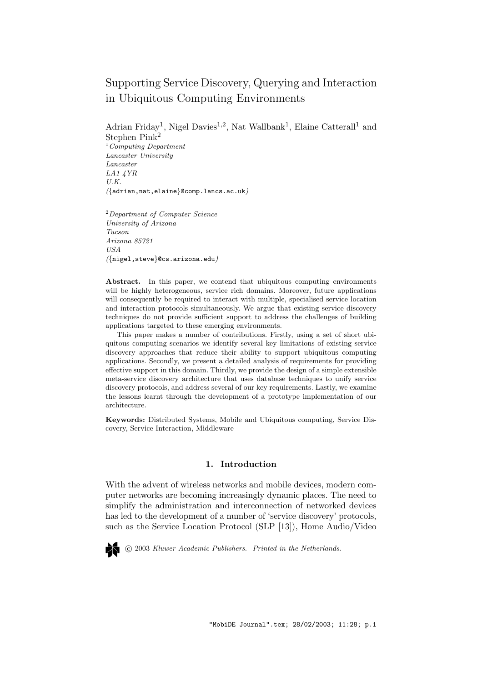# Supporting Service Discovery, Querying and Interaction in Ubiquitous Computing Environments

Adrian Friday<sup>1</sup>, Nigel Davies<sup>1,2</sup>, Nat Wallbank<sup>1</sup>, Elaine Catterall<sup>1</sup> and Stephen Pink<sup>2</sup>

 $1$ Computing Department Lancaster University Lancaster LA1 4YR U.K. ({adrian,nat,elaine}@comp.lancs.ac.uk)

<sup>2</sup>Department of Computer Science University of Arizona Tucson Arizona 85721 USA ({nigel,steve}@cs.arizona.edu)

Abstract. In this paper, we contend that ubiquitous computing environments will be highly heterogeneous, service rich domains. Moreover, future applications will consequently be required to interact with multiple, specialised service location and interaction protocols simultaneously. We argue that existing service discovery techniques do not provide sufficient support to address the challenges of building applications targeted to these emerging environments.

This paper makes a number of contributions. Firstly, using a set of short ubiquitous computing scenarios we identify several key limitations of existing service discovery approaches that reduce their ability to support ubiquitous computing applications. Secondly, we present a detailed analysis of requirements for providing effective support in this domain. Thirdly, we provide the design of a simple extensible meta-service discovery architecture that uses database techniques to unify service discovery protocols, and address several of our key requirements. Lastly, we examine the lessons learnt through the development of a prototype implementation of our architecture.

Keywords: Distributed Systems, Mobile and Ubiquitous computing, Service Discovery, Service Interaction, Middleware

# 1. Introduction

With the advent of wireless networks and mobile devices, modern computer networks are becoming increasingly dynamic places. The need to simplify the administration and interconnection of networked devices has led to the development of a number of 'service discovery' protocols, such as the Service Location Protocol (SLP [13]), Home Audio/Video

c 2003 Kluwer Academic Publishers. Printed in the Netherlands.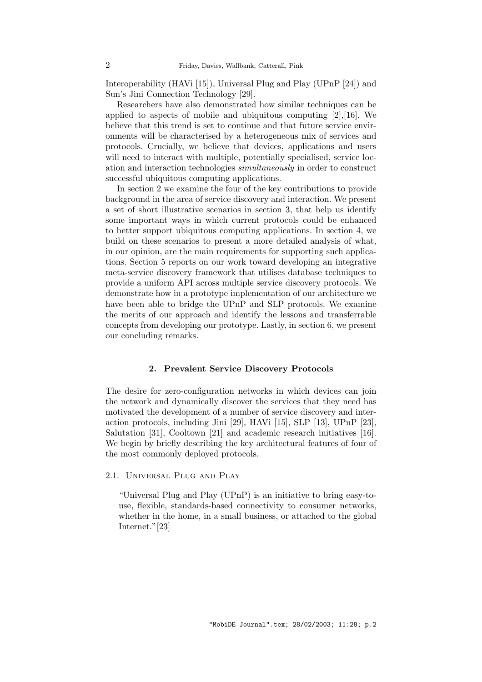Interoperability (HAVi [15]), Universal Plug and Play (UPnP [24]) and Sun's Jini Connection Technology [29].

Researchers have also demonstrated how similar techniques can be applied to aspects of mobile and ubiquitous computing [2],[16]. We believe that this trend is set to continue and that future service environments will be characterised by a heterogeneous mix of services and protocols. Crucially, we believe that devices, applications and users will need to interact with multiple, potentially specialised, service location and interaction technologies simultaneously in order to construct successful ubiquitous computing applications.

In section 2 we examine the four of the key contributions to provide background in the area of service discovery and interaction. We present a set of short illustrative scenarios in section 3, that help us identify some important ways in which current protocols could be enhanced to better support ubiquitous computing applications. In section 4, we build on these scenarios to present a more detailed analysis of what, in our opinion, are the main requirements for supporting such applications. Section 5 reports on our work toward developing an integrative meta-service discovery framework that utilises database techniques to provide a uniform API across multiple service discovery protocols. We demonstrate how in a prototype implementation of our architecture we have been able to bridge the UPnP and SLP protocols. We examine the merits of our approach and identify the lessons and transferrable concepts from developing our prototype. Lastly, in section 6, we present our concluding remarks.

## 2. Prevalent Service Discovery Protocols

The desire for zero-configuration networks in which devices can join the network and dynamically discover the services that they need has motivated the development of a number of service discovery and interaction protocols, including Jini [29], HAVi [15], SLP [13], UPnP [23], Salutation [31], Cooltown [21] and academic research initiatives [16]. We begin by briefly describing the key architectural features of four of the most commonly deployed protocols.

# 2.1. Universal Plug and Play

"Universal Plug and Play (UPnP) is an initiative to bring easy-touse, flexible, standards-based connectivity to consumer networks, whether in the home, in a small business, or attached to the global Internet."[23]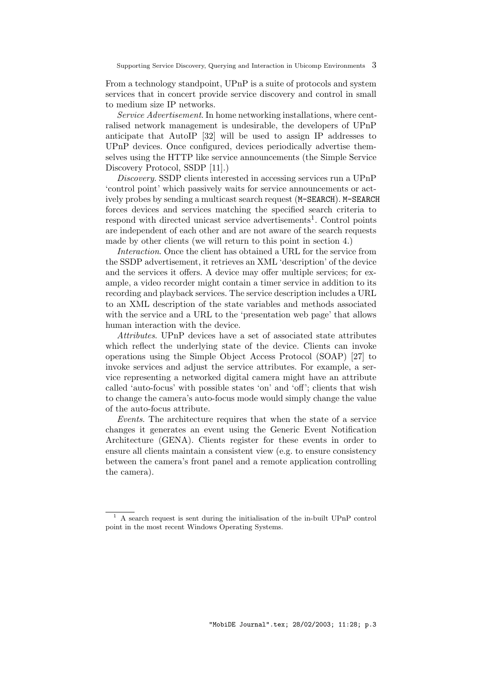From a technology standpoint, UPnP is a suite of protocols and system services that in concert provide service discovery and control in small to medium size IP networks.

Service Advertisement. In home networking installations, where centralised network management is undesirable, the developers of UPnP anticipate that AutoIP [32] will be used to assign IP addresses to UPnP devices. Once configured, devices periodically advertise themselves using the HTTP like service announcements (the Simple Service Discovery Protocol, SSDP [11].)

Discovery. SSDP clients interested in accessing services run a UPnP 'control point' which passively waits for service announcements or actively probes by sending a multicast search request (M-SEARCH). M-SEARCH forces devices and services matching the specified search criteria to respond with directed unicast service advertisements<sup>1</sup>. Control points are independent of each other and are not aware of the search requests made by other clients (we will return to this point in section 4.)

Interaction. Once the client has obtained a URL for the service from the SSDP advertisement, it retrieves an XML 'description' of the device and the services it offers. A device may offer multiple services; for example, a video recorder might contain a timer service in addition to its recording and playback services. The service description includes a URL to an XML description of the state variables and methods associated with the service and a URL to the 'presentation web page' that allows human interaction with the device.

Attributes. UPnP devices have a set of associated state attributes which reflect the underlying state of the device. Clients can invoke operations using the Simple Object Access Protocol (SOAP) [27] to invoke services and adjust the service attributes. For example, a service representing a networked digital camera might have an attribute called 'auto-focus' with possible states 'on' and 'off'; clients that wish to change the camera's auto-focus mode would simply change the value of the auto-focus attribute.

Events. The architecture requires that when the state of a service changes it generates an event using the Generic Event Notification Architecture (GENA). Clients register for these events in order to ensure all clients maintain a consistent view (e.g. to ensure consistency between the camera's front panel and a remote application controlling the camera).

<sup>1</sup> A search request is sent during the initialisation of the in-built UPnP control point in the most recent Windows Operating Systems.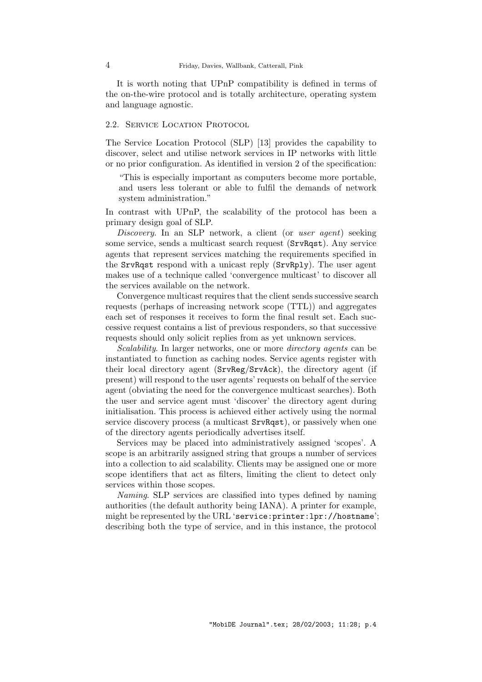It is worth noting that UPnP compatibility is defined in terms of the on-the-wire protocol and is totally architecture, operating system and language agnostic.

## 2.2. SERVICE LOCATION PROTOCOL

The Service Location Protocol (SLP) [13] provides the capability to discover, select and utilise network services in IP networks with little or no prior configuration. As identified in version 2 of the specification:

"This is especially important as computers become more portable, and users less tolerant or able to fulfil the demands of network system administration."

In contrast with UPnP, the scalability of the protocol has been a primary design goal of SLP.

Discovery. In an SLP network, a client (or user agent) seeking some service, sends a multicast search request (SrvRqst). Any service agents that represent services matching the requirements specified in the SrvRqst respond with a unicast reply (SrvRply). The user agent makes use of a technique called 'convergence multicast' to discover all the services available on the network.

Convergence multicast requires that the client sends successive search requests (perhaps of increasing network scope (TTL)) and aggregates each set of responses it receives to form the final result set. Each successive request contains a list of previous responders, so that successive requests should only solicit replies from as yet unknown services.

Scalability. In larger networks, one or more directory agents can be instantiated to function as caching nodes. Service agents register with their local directory agent (SrvReg/SrvAck), the directory agent (if present) will respond to the user agents' requests on behalf of the service agent (obviating the need for the convergence multicast searches). Both the user and service agent must 'discover' the directory agent during initialisation. This process is achieved either actively using the normal service discovery process (a multicast SrvRqst), or passively when one of the directory agents periodically advertises itself.

Services may be placed into administratively assigned 'scopes'. A scope is an arbitrarily assigned string that groups a number of services into a collection to aid scalability. Clients may be assigned one or more scope identifiers that act as filters, limiting the client to detect only services within those scopes.

Naming. SLP services are classified into types defined by naming authorities (the default authority being IANA). A printer for example, might be represented by the URL 'service:printer:lpr://hostname'; describing both the type of service, and in this instance, the protocol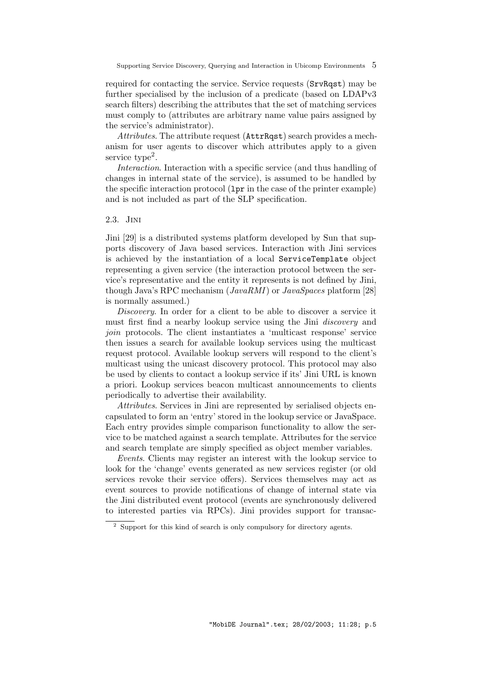required for contacting the service. Service requests (SrvRqst) may be further specialised by the inclusion of a predicate (based on LDAPv3 search filters) describing the attributes that the set of matching services must comply to (attributes are arbitrary name value pairs assigned by the service's administrator).

Attributes. The attribute request (AttrRqst) search provides a mechanism for user agents to discover which attributes apply to a given service type<sup>2</sup>.

Interaction. Interaction with a specific service (and thus handling of changes in internal state of the service), is assumed to be handled by the specific interaction protocol (lpr in the case of the printer example) and is not included as part of the SLP specification.

## 2.3. Jini

Jini [29] is a distributed systems platform developed by Sun that supports discovery of Java based services. Interaction with Jini services is achieved by the instantiation of a local ServiceTemplate object representing a given service (the interaction protocol between the service's representative and the entity it represents is not defined by Jini, though Java's RPC mechanism (*JavaRMI*) or *JavaSpaces* platform [28] is normally assumed.)

Discovery. In order for a client to be able to discover a service it must first find a nearby lookup service using the Jini discovery and join protocols. The client instantiates a 'multicast response' service then issues a search for available lookup services using the multicast request protocol. Available lookup servers will respond to the client's multicast using the unicast discovery protocol. This protocol may also be used by clients to contact a lookup service if its' Jini URL is known a priori. Lookup services beacon multicast announcements to clients periodically to advertise their availability.

Attributes. Services in Jini are represented by serialised objects encapsulated to form an 'entry' stored in the lookup service or JavaSpace. Each entry provides simple comparison functionality to allow the service to be matched against a search template. Attributes for the service and search template are simply specified as object member variables.

Events. Clients may register an interest with the lookup service to look for the 'change' events generated as new services register (or old services revoke their service offers). Services themselves may act as event sources to provide notifications of change of internal state via the Jini distributed event protocol (events are synchronously delivered to interested parties via RPCs). Jini provides support for transac-

<sup>&</sup>lt;sup>2</sup> Support for this kind of search is only compulsory for directory agents.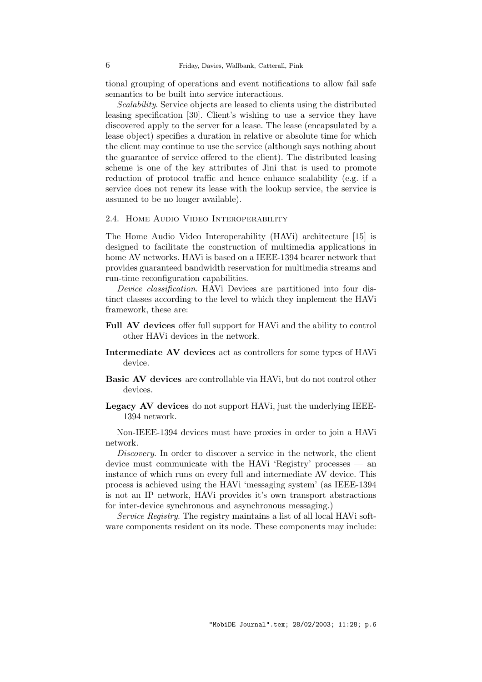tional grouping of operations and event notifications to allow fail safe semantics to be built into service interactions.

Scalability. Service objects are leased to clients using the distributed leasing specification [30]. Client's wishing to use a service they have discovered apply to the server for a lease. The lease (encapsulated by a lease object) specifies a duration in relative or absolute time for which the client may continue to use the service (although says nothing about the guarantee of service offered to the client). The distributed leasing scheme is one of the key attributes of Jini that is used to promote reduction of protocol traffic and hence enhance scalability (e.g. if a service does not renew its lease with the lookup service, the service is assumed to be no longer available).

#### 2.4. Home Audio Video Interoperability

The Home Audio Video Interoperability (HAVi) architecture [15] is designed to facilitate the construction of multimedia applications in home AV networks. HAVi is based on a IEEE-1394 bearer network that provides guaranteed bandwidth reservation for multimedia streams and run-time reconfiguration capabilities.

Device classification. HAVi Devices are partitioned into four distinct classes according to the level to which they implement the HAVi framework, these are:

- Full AV devices offer full support for HAVi and the ability to control other HAVi devices in the network.
- Intermediate AV devices act as controllers for some types of HAVi device.
- Basic AV devices are controllable via HAVi, but do not control other devices.
- Legacy AV devices do not support HAVi, just the underlying IEEE-1394 network.

Non-IEEE-1394 devices must have proxies in order to join a HAVi network.

Discovery. In order to discover a service in the network, the client device must communicate with the HAVi 'Registry' processes — an instance of which runs on every full and intermediate AV device. This process is achieved using the HAVi 'messaging system' (as IEEE-1394 is not an IP network, HAVi provides it's own transport abstractions for inter-device synchronous and asynchronous messaging.)

Service Registry. The registry maintains a list of all local HAVi software components resident on its node. These components may include: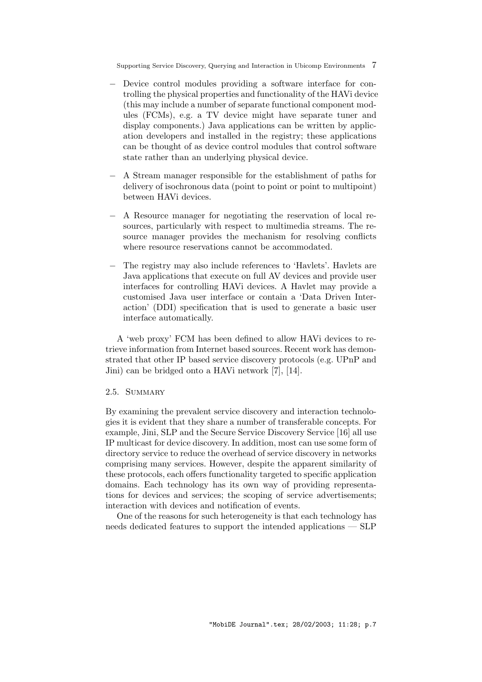Supporting Service Discovery, Querying and Interaction in Ubicomp Environments 7

- − Device control modules providing a software interface for controlling the physical properties and functionality of the HAVi device (this may include a number of separate functional component modules (FCMs), e.g. a TV device might have separate tuner and display components.) Java applications can be written by application developers and installed in the registry; these applications can be thought of as device control modules that control software state rather than an underlying physical device.
- − A Stream manager responsible for the establishment of paths for delivery of isochronous data (point to point or point to multipoint) between HAVi devices.
- − A Resource manager for negotiating the reservation of local resources, particularly with respect to multimedia streams. The resource manager provides the mechanism for resolving conflicts where resource reservations cannot be accommodated.
- The registry may also include references to 'Havlets'. Havlets are Java applications that execute on full AV devices and provide user interfaces for controlling HAVi devices. A Havlet may provide a customised Java user interface or contain a 'Data Driven Interaction' (DDI) specification that is used to generate a basic user interface automatically.

A 'web proxy' FCM has been defined to allow HAVi devices to retrieve information from Internet based sources. Recent work has demonstrated that other IP based service discovery protocols (e.g. UPnP and Jini) can be bridged onto a HAVi network [7], [14].

## 2.5. SUMMARY

By examining the prevalent service discovery and interaction technologies it is evident that they share a number of transferable concepts. For example, Jini, SLP and the Secure Service Discovery Service [16] all use IP multicast for device discovery. In addition, most can use some form of directory service to reduce the overhead of service discovery in networks comprising many services. However, despite the apparent similarity of these protocols, each offers functionality targeted to specific application domains. Each technology has its own way of providing representations for devices and services; the scoping of service advertisements; interaction with devices and notification of events.

One of the reasons for such heterogeneity is that each technology has needs dedicated features to support the intended applications — SLP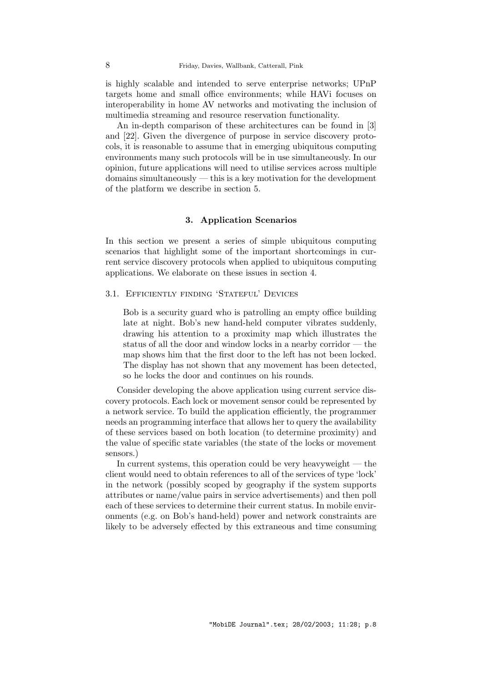is highly scalable and intended to serve enterprise networks; UPnP targets home and small office environments; while HAVi focuses on interoperability in home AV networks and motivating the inclusion of multimedia streaming and resource reservation functionality.

An in-depth comparison of these architectures can be found in [3] and [22]. Given the divergence of purpose in service discovery protocols, it is reasonable to assume that in emerging ubiquitous computing environments many such protocols will be in use simultaneously. In our opinion, future applications will need to utilise services across multiple domains simultaneously — this is a key motivation for the development of the platform we describe in section 5.

## 3. Application Scenarios

In this section we present a series of simple ubiquitous computing scenarios that highlight some of the important shortcomings in current service discovery protocols when applied to ubiquitous computing applications. We elaborate on these issues in section 4.

## 3.1. Efficiently finding 'Stateful' Devices

Bob is a security guard who is patrolling an empty office building late at night. Bob's new hand-held computer vibrates suddenly, drawing his attention to a proximity map which illustrates the status of all the door and window locks in a nearby corridor — the map shows him that the first door to the left has not been locked. The display has not shown that any movement has been detected, so he locks the door and continues on his rounds.

Consider developing the above application using current service discovery protocols. Each lock or movement sensor could be represented by a network service. To build the application efficiently, the programmer needs an programming interface that allows her to query the availability of these services based on both location (to determine proximity) and the value of specific state variables (the state of the locks or movement sensors.)

In current systems, this operation could be very heavyweight — the client would need to obtain references to all of the services of type 'lock' in the network (possibly scoped by geography if the system supports attributes or name/value pairs in service advertisements) and then poll each of these services to determine their current status. In mobile environments (e.g. on Bob's hand-held) power and network constraints are likely to be adversely effected by this extraneous and time consuming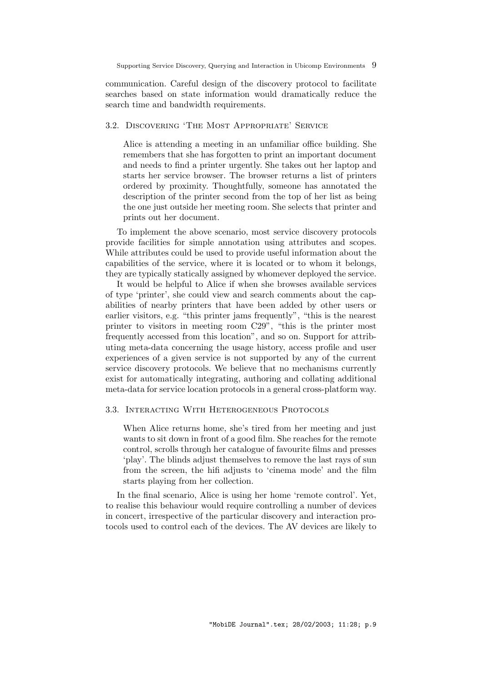communication. Careful design of the discovery protocol to facilitate searches based on state information would dramatically reduce the search time and bandwidth requirements.

## 3.2. Discovering 'The Most Appropriate' Service

Alice is attending a meeting in an unfamiliar office building. She remembers that she has forgotten to print an important document and needs to find a printer urgently. She takes out her laptop and starts her service browser. The browser returns a list of printers ordered by proximity. Thoughtfully, someone has annotated the description of the printer second from the top of her list as being the one just outside her meeting room. She selects that printer and prints out her document.

To implement the above scenario, most service discovery protocols provide facilities for simple annotation using attributes and scopes. While attributes could be used to provide useful information about the capabilities of the service, where it is located or to whom it belongs, they are typically statically assigned by whomever deployed the service.

It would be helpful to Alice if when she browses available services of type 'printer', she could view and search comments about the capabilities of nearby printers that have been added by other users or earlier visitors, e.g. "this printer jams frequently", "this is the nearest printer to visitors in meeting room C29", "this is the printer most frequently accessed from this location", and so on. Support for attributing meta-data concerning the usage history, access profile and user experiences of a given service is not supported by any of the current service discovery protocols. We believe that no mechanisms currently exist for automatically integrating, authoring and collating additional meta-data for service location protocols in a general cross-platform way.

## 3.3. Interacting With Heterogeneous Protocols

When Alice returns home, she's tired from her meeting and just wants to sit down in front of a good film. She reaches for the remote control, scrolls through her catalogue of favourite films and presses 'play'. The blinds adjust themselves to remove the last rays of sun from the screen, the hifi adjusts to 'cinema mode' and the film starts playing from her collection.

In the final scenario, Alice is using her home 'remote control'. Yet, to realise this behaviour would require controlling a number of devices in concert, irrespective of the particular discovery and interaction protocols used to control each of the devices. The AV devices are likely to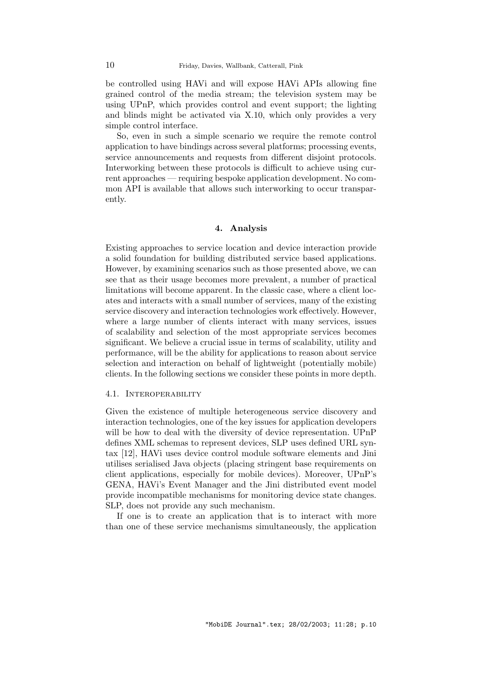be controlled using HAVi and will expose HAVi APIs allowing fine grained control of the media stream; the television system may be using UPnP, which provides control and event support; the lighting and blinds might be activated via X.10, which only provides a very simple control interface.

So, even in such a simple scenario we require the remote control application to have bindings across several platforms; processing events, service announcements and requests from different disjoint protocols. Interworking between these protocols is difficult to achieve using current approaches — requiring bespoke application development. No common API is available that allows such interworking to occur transparently.

## 4. Analysis

Existing approaches to service location and device interaction provide a solid foundation for building distributed service based applications. However, by examining scenarios such as those presented above, we can see that as their usage becomes more prevalent, a number of practical limitations will become apparent. In the classic case, where a client locates and interacts with a small number of services, many of the existing service discovery and interaction technologies work effectively. However, where a large number of clients interact with many services, issues of scalability and selection of the most appropriate services becomes significant. We believe a crucial issue in terms of scalability, utility and performance, will be the ability for applications to reason about service selection and interaction on behalf of lightweight (potentially mobile) clients. In the following sections we consider these points in more depth.

## 4.1. Interoperability

Given the existence of multiple heterogeneous service discovery and interaction technologies, one of the key issues for application developers will be how to deal with the diversity of device representation. UPnP defines XML schemas to represent devices, SLP uses defined URL syntax [12], HAVi uses device control module software elements and Jini utilises serialised Java objects (placing stringent base requirements on client applications, especially for mobile devices). Moreover, UPnP's GENA, HAVi's Event Manager and the Jini distributed event model provide incompatible mechanisms for monitoring device state changes. SLP, does not provide any such mechanism.

If one is to create an application that is to interact with more than one of these service mechanisms simultaneously, the application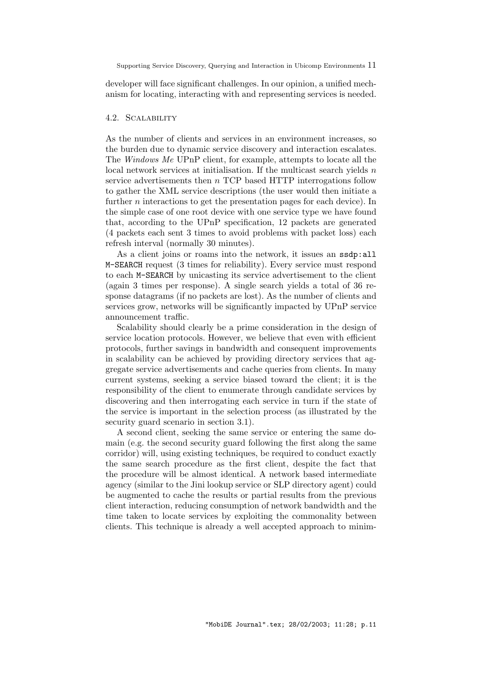developer will face significant challenges. In our opinion, a unified mechanism for locating, interacting with and representing services is needed.

#### 4.2. Scalability

As the number of clients and services in an environment increases, so the burden due to dynamic service discovery and interaction escalates. The Windows Me UPnP client, for example, attempts to locate all the local network services at initialisation. If the multicast search yields n service advertisements then n TCP based HTTP interrogations follow to gather the XML service descriptions (the user would then initiate a further  $n$  interactions to get the presentation pages for each device). In the simple case of one root device with one service type we have found that, according to the UPnP specification, 12 packets are generated (4 packets each sent 3 times to avoid problems with packet loss) each refresh interval (normally 30 minutes).

As a client joins or roams into the network, it issues an ssdp:all M-SEARCH request (3 times for reliability). Every service must respond to each M-SEARCH by unicasting its service advertisement to the client (again 3 times per response). A single search yields a total of 36 response datagrams (if no packets are lost). As the number of clients and services grow, networks will be significantly impacted by UPnP service announcement traffic.

Scalability should clearly be a prime consideration in the design of service location protocols. However, we believe that even with efficient protocols, further savings in bandwidth and consequent improvements in scalability can be achieved by providing directory services that aggregate service advertisements and cache queries from clients. In many current systems, seeking a service biased toward the client; it is the responsibility of the client to enumerate through candidate services by discovering and then interrogating each service in turn if the state of the service is important in the selection process (as illustrated by the security guard scenario in section 3.1).

A second client, seeking the same service or entering the same domain (e.g. the second security guard following the first along the same corridor) will, using existing techniques, be required to conduct exactly the same search procedure as the first client, despite the fact that the procedure will be almost identical. A network based intermediate agency (similar to the Jini lookup service or SLP directory agent) could be augmented to cache the results or partial results from the previous client interaction, reducing consumption of network bandwidth and the time taken to locate services by exploiting the commonality between clients. This technique is already a well accepted approach to minim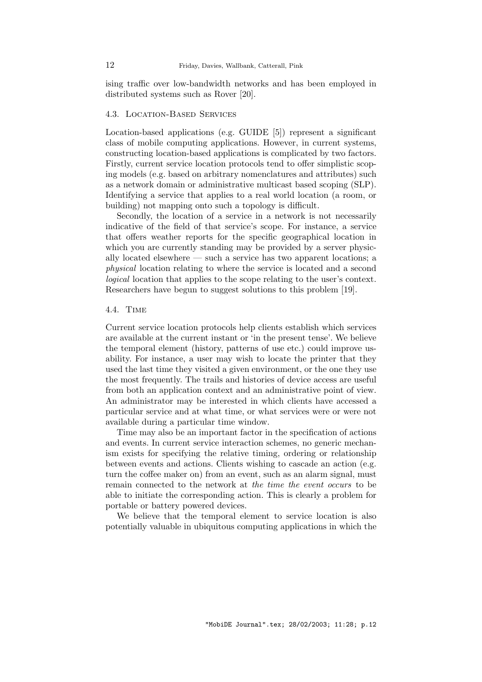ising traffic over low-bandwidth networks and has been employed in distributed systems such as Rover [20].

#### 4.3. Location-Based Services

Location-based applications (e.g. GUIDE [5]) represent a significant class of mobile computing applications. However, in current systems, constructing location-based applications is complicated by two factors. Firstly, current service location protocols tend to offer simplistic scoping models (e.g. based on arbitrary nomenclatures and attributes) such as a network domain or administrative multicast based scoping (SLP). Identifying a service that applies to a real world location (a room, or building) not mapping onto such a topology is difficult.

Secondly, the location of a service in a network is not necessarily indicative of the field of that service's scope. For instance, a service that offers weather reports for the specific geographical location in which you are currently standing may be provided by a server physically located elsewhere — such a service has two apparent locations; a physical location relating to where the service is located and a second logical location that applies to the scope relating to the user's context. Researchers have begun to suggest solutions to this problem [19].

## 4.4. Time

Current service location protocols help clients establish which services are available at the current instant or 'in the present tense'. We believe the temporal element (history, patterns of use etc.) could improve usability. For instance, a user may wish to locate the printer that they used the last time they visited a given environment, or the one they use the most frequently. The trails and histories of device access are useful from both an application context and an administrative point of view. An administrator may be interested in which clients have accessed a particular service and at what time, or what services were or were not available during a particular time window.

Time may also be an important factor in the specification of actions and events. In current service interaction schemes, no generic mechanism exists for specifying the relative timing, ordering or relationship between events and actions. Clients wishing to cascade an action (e.g. turn the coffee maker on) from an event, such as an alarm signal, must remain connected to the network at the time the event occurs to be able to initiate the corresponding action. This is clearly a problem for portable or battery powered devices.

We believe that the temporal element to service location is also potentially valuable in ubiquitous computing applications in which the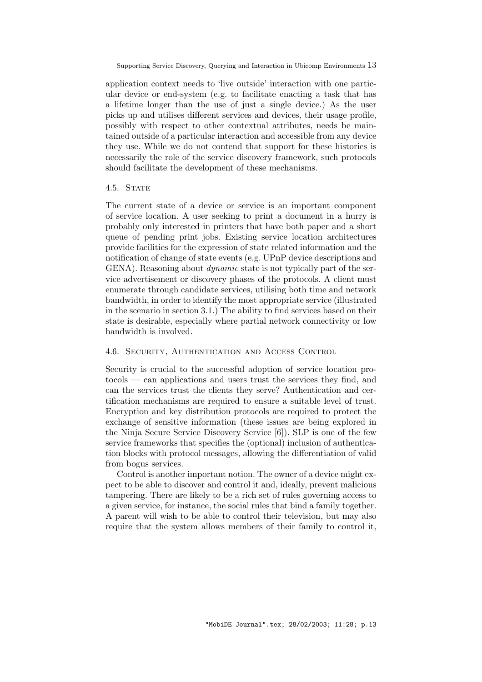application context needs to 'live outside' interaction with one particular device or end-system (e.g. to facilitate enacting a task that has a lifetime longer than the use of just a single device.) As the user picks up and utilises different services and devices, their usage profile, possibly with respect to other contextual attributes, needs be maintained outside of a particular interaction and accessible from any device they use. While we do not contend that support for these histories is necessarily the role of the service discovery framework, such protocols should facilitate the development of these mechanisms.

## 4.5. STATE

The current state of a device or service is an important component of service location. A user seeking to print a document in a hurry is probably only interested in printers that have both paper and a short queue of pending print jobs. Existing service location architectures provide facilities for the expression of state related information and the notification of change of state events (e.g. UPnP device descriptions and GENA). Reasoning about dynamic state is not typically part of the service advertisement or discovery phases of the protocols. A client must enumerate through candidate services, utilising both time and network bandwidth, in order to identify the most appropriate service (illustrated in the scenario in section 3.1.) The ability to find services based on their state is desirable, especially where partial network connectivity or low bandwidth is involved.

#### 4.6. Security, Authentication and Access Control

Security is crucial to the successful adoption of service location protocols — can applications and users trust the services they find, and can the services trust the clients they serve? Authentication and certification mechanisms are required to ensure a suitable level of trust. Encryption and key distribution protocols are required to protect the exchange of sensitive information (these issues are being explored in the Ninja Secure Service Discovery Service [6]). SLP is one of the few service frameworks that specifies the (optional) inclusion of authentication blocks with protocol messages, allowing the differentiation of valid from bogus services.

Control is another important notion. The owner of a device might expect to be able to discover and control it and, ideally, prevent malicious tampering. There are likely to be a rich set of rules governing access to a given service, for instance, the social rules that bind a family together. A parent will wish to be able to control their television, but may also require that the system allows members of their family to control it,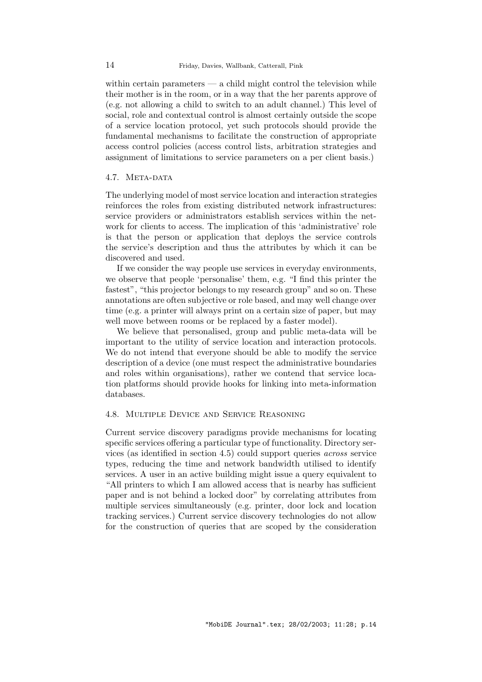within certain parameters  $-$  a child might control the television while their mother is in the room, or in a way that the her parents approve of (e.g. not allowing a child to switch to an adult channel.) This level of social, role and contextual control is almost certainly outside the scope of a service location protocol, yet such protocols should provide the fundamental mechanisms to facilitate the construction of appropriate access control policies (access control lists, arbitration strategies and assignment of limitations to service parameters on a per client basis.)

## 4.7. META-DATA

The underlying model of most service location and interaction strategies reinforces the roles from existing distributed network infrastructures: service providers or administrators establish services within the network for clients to access. The implication of this 'administrative' role is that the person or application that deploys the service controls the service's description and thus the attributes by which it can be discovered and used.

If we consider the way people use services in everyday environments, we observe that people 'personalise' them, e.g. "I find this printer the fastest", "this projector belongs to my research group" and so on. These annotations are often subjective or role based, and may well change over time (e.g. a printer will always print on a certain size of paper, but may well move between rooms or be replaced by a faster model).

We believe that personalised, group and public meta-data will be important to the utility of service location and interaction protocols. We do not intend that everyone should be able to modify the service description of a device (one must respect the administrative boundaries and roles within organisations), rather we contend that service location platforms should provide hooks for linking into meta-information databases.

## 4.8. Multiple Device and Service Reasoning

Current service discovery paradigms provide mechanisms for locating specific services offering a particular type of functionality. Directory services (as identified in section 4.5) could support queries across service types, reducing the time and network bandwidth utilised to identify services. A user in an active building might issue a query equivalent to "All printers to which I am allowed access that is nearby has sufficient paper and is not behind a locked door" by correlating attributes from multiple services simultaneously (e.g. printer, door lock and location tracking services.) Current service discovery technologies do not allow for the construction of queries that are scoped by the consideration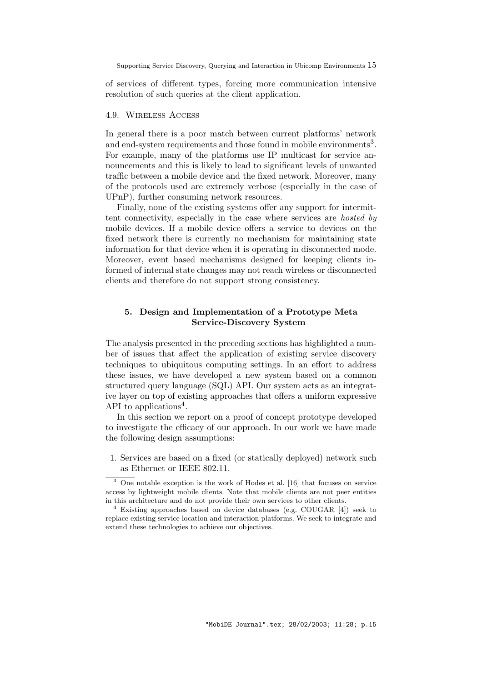of services of different types, forcing more communication intensive resolution of such queries at the client application.

## 4.9. Wireless Access

In general there is a poor match between current platforms' network and end-system requirements and those found in mobile environments<sup>3</sup>. For example, many of the platforms use IP multicast for service announcements and this is likely to lead to significant levels of unwanted traffic between a mobile device and the fixed network. Moreover, many of the protocols used are extremely verbose (especially in the case of UPnP), further consuming network resources.

Finally, none of the existing systems offer any support for intermittent connectivity, especially in the case where services are hosted by mobile devices. If a mobile device offers a service to devices on the fixed network there is currently no mechanism for maintaining state information for that device when it is operating in disconnected mode. Moreover, event based mechanisms designed for keeping clients informed of internal state changes may not reach wireless or disconnected clients and therefore do not support strong consistency.

# 5. Design and Implementation of a Prototype Meta Service-Discovery System

The analysis presented in the preceding sections has highlighted a number of issues that affect the application of existing service discovery techniques to ubiquitous computing settings. In an effort to address these issues, we have developed a new system based on a common structured query language (SQL) API. Our system acts as an integrative layer on top of existing approaches that offers a uniform expressive API to applications<sup>4</sup>.

In this section we report on a proof of concept prototype developed to investigate the efficacy of our approach. In our work we have made the following design assumptions:

1. Services are based on a fixed (or statically deployed) network such as Ethernet or IEEE 802.11.

<sup>&</sup>lt;sup>3</sup> One notable exception is the work of Hodes et al. [16] that focuses on service access by lightweight mobile clients. Note that mobile clients are not peer entities in this architecture and do not provide their own services to other clients.

<sup>4</sup> Existing approaches based on device databases (e.g. COUGAR [4]) seek to replace existing service location and interaction platforms. We seek to integrate and extend these technologies to achieve our objectives.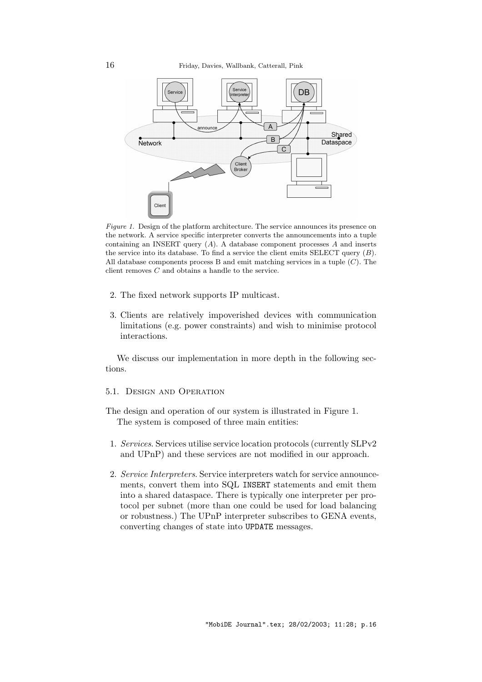

Figure 1. Design of the platform architecture. The service announces its presence on the network. A service specific interpreter converts the announcements into a tuple containing an INSERT query  $(A)$ . A database component processes  $A$  and inserts the service into its database. To find a service the client emits SELECT query  $(B)$ . All database components process B and emit matching services in a tuple  $(C)$ . The client removes C and obtains a handle to the service.

- 2. The fixed network supports IP multicast.
- 3. Clients are relatively impoverished devices with communication limitations (e.g. power constraints) and wish to minimise protocol interactions.

We discuss our implementation in more depth in the following sections.

## 5.1. Design and Operation

The design and operation of our system is illustrated in Figure 1. The system is composed of three main entities:

- 1. Services. Services utilise service location protocols (currently SLPv2 and UPnP) and these services are not modified in our approach.
- 2. Service Interpreters. Service interpreters watch for service announcements, convert them into SQL INSERT statements and emit them into a shared dataspace. There is typically one interpreter per protocol per subnet (more than one could be used for load balancing or robustness.) The UPnP interpreter subscribes to GENA events, converting changes of state into UPDATE messages.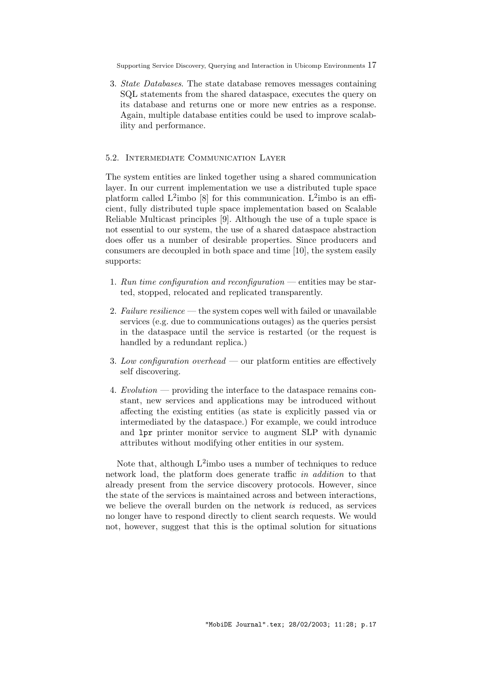Supporting Service Discovery, Querying and Interaction in Ubicomp Environments 17

3. State Databases. The state database removes messages containing SQL statements from the shared dataspace, executes the query on its database and returns one or more new entries as a response. Again, multiple database entities could be used to improve scalability and performance.

## 5.2. Intermediate Communication Layer

The system entities are linked together using a shared communication layer. In our current implementation we use a distributed tuple space platform called  $L^2$ imbo [8] for this communication.  $L^2$ imbo is an efficient, fully distributed tuple space implementation based on Scalable Reliable Multicast principles [9]. Although the use of a tuple space is not essential to our system, the use of a shared dataspace abstraction does offer us a number of desirable properties. Since producers and consumers are decoupled in both space and time [10], the system easily supports:

- 1. Run time configuration and reconfiguration entities may be started, stopped, relocated and replicated transparently.
- 2. Failure resilience the system copes well with failed or unavailable services (e.g. due to communications outages) as the queries persist in the dataspace until the service is restarted (or the request is handled by a redundant replica.)
- 3. Low configuration overhead our platform entities are effectively self discovering.
- 4. Evolution providing the interface to the dataspace remains constant, new services and applications may be introduced without affecting the existing entities (as state is explicitly passed via or intermediated by the dataspace.) For example, we could introduce and lpr printer monitor service to augment SLP with dynamic attributes without modifying other entities in our system.

Note that, although  $L^2$  imbo uses a number of techniques to reduce network load, the platform does generate traffic in addition to that already present from the service discovery protocols. However, since the state of the services is maintained across and between interactions, we believe the overall burden on the network is reduced, as services no longer have to respond directly to client search requests. We would not, however, suggest that this is the optimal solution for situations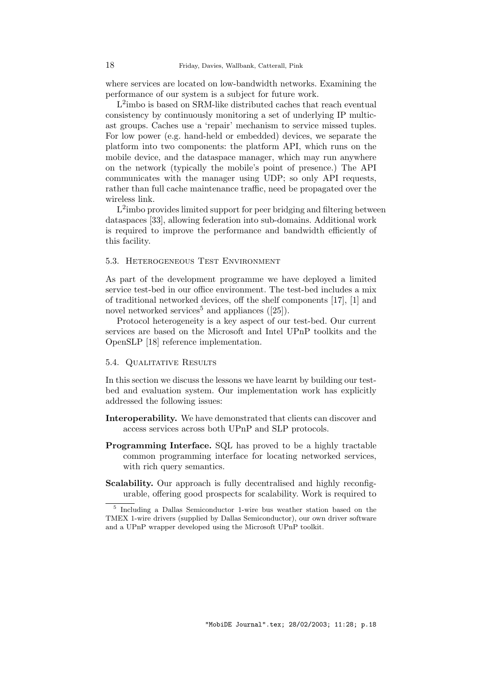where services are located on low-bandwidth networks. Examining the performance of our system is a subject for future work.

L<sup>2</sup>imbo is based on SRM-like distributed caches that reach eventual consistency by continuously monitoring a set of underlying IP multicast groups. Caches use a 'repair' mechanism to service missed tuples. For low power (e.g. hand-held or embedded) devices, we separate the platform into two components: the platform API, which runs on the mobile device, and the dataspace manager, which may run anywhere on the network (typically the mobile's point of presence.) The API communicates with the manager using UDP; so only API requests, rather than full cache maintenance traffic, need be propagated over the wireless link.

L<sup>2</sup>imbo provides limited support for peer bridging and filtering between dataspaces [33], allowing federation into sub-domains. Additional work is required to improve the performance and bandwidth efficiently of this facility.

## 5.3. Heterogeneous Test Environment

As part of the development programme we have deployed a limited service test-bed in our office environment. The test-bed includes a mix of traditional networked devices, off the shelf components [17], [1] and novel networked services<sup>5</sup> and appliances ([25]).

Protocol heterogeneity is a key aspect of our test-bed. Our current services are based on the Microsoft and Intel UPnP toolkits and the OpenSLP [18] reference implementation.

## 5.4. QUALITATIVE RESULTS

In this section we discuss the lessons we have learnt by building our testbed and evaluation system. Our implementation work has explicitly addressed the following issues:

- Interoperability. We have demonstrated that clients can discover and access services across both UPnP and SLP protocols.
- Programming Interface. SQL has proved to be a highly tractable common programming interface for locating networked services, with rich query semantics.

Scalability. Our approach is fully decentralised and highly reconfigurable, offering good prospects for scalability. Work is required to

<sup>5</sup> Including a Dallas Semiconductor 1-wire bus weather station based on the TMEX 1-wire drivers (supplied by Dallas Semiconductor), our own driver software and a UPnP wrapper developed using the Microsoft UPnP toolkit.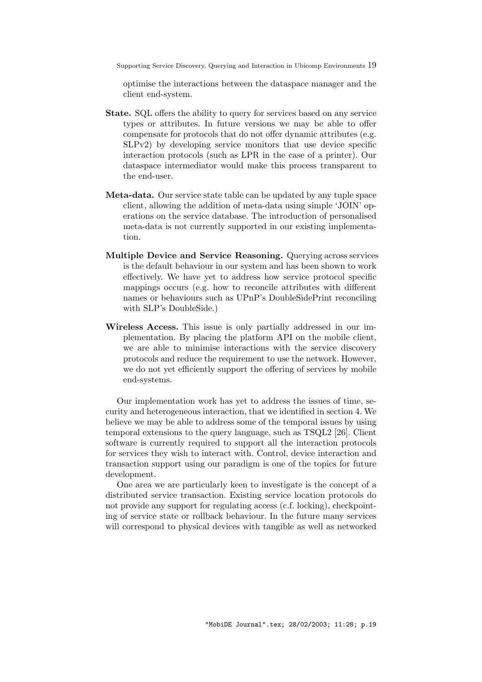Supporting Service Discovery, Querying and Interaction in Ubicomp Environments 19

optimise the interactions between the dataspace manager and the client end-system.

- State. SQL offers the ability to query for services based on any service types or attributes. In future versions we may be able to offer compensate for protocols that do not offer dynamic attributes (e.g. SLPv2) by developing service monitors that use device specific interaction protocols (such as LPR in the case of a printer). Our dataspace intermediator would make this process transparent to the end-user.
- Meta-data. Our service state table can be updated by any tuple space client, allowing the addition of meta-data using simple 'JOIN' operations on the service database. The introduction of personalised meta-data is not currently supported in our existing implementation.
- Multiple Device and Service Reasoning. Querying across services is the default behaviour in our system and has been shown to work effectively. We have yet to address how service protocol specific mappings occurs (e.g. how to reconcile attributes with different names or behaviours such as UPnP's DoubleSidePrint reconciling with SLP's DoubleSide.)
- Wireless Access. This issue is only partially addressed in our implementation. By placing the platform API on the mobile client, we are able to minimise interactions with the service discovery protocols and reduce the requirement to use the network. However, we do not yet efficiently support the offering of services by mobile end-systems.

Our implementation work has yet to address the issues of time, security and heterogeneous interaction, that we identified in section 4. We believe we may be able to address some of the temporal issues by using temporal extensions to the query language, such as TSQL2 [26]. Client software is currently required to support all the interaction protocols for services they wish to interact with. Control, device interaction and transaction support using our paradigm is one of the topics for future development.

One area we are particularly keen to investigate is the concept of a distributed service transaction. Existing service location protocols do not provide any support for regulating access (c.f. locking), checkpointing of service state or rollback behaviour. In the future many services will correspond to physical devices with tangible as well as networked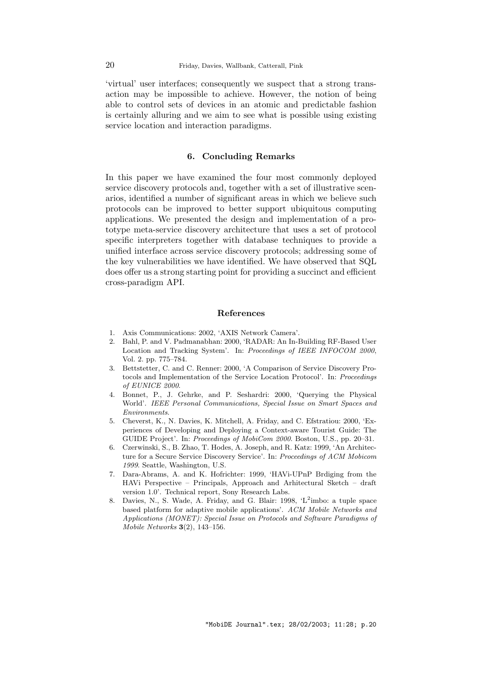'virtual' user interfaces; consequently we suspect that a strong transaction may be impossible to achieve. However, the notion of being able to control sets of devices in an atomic and predictable fashion is certainly alluring and we aim to see what is possible using existing service location and interaction paradigms.

## 6. Concluding Remarks

In this paper we have examined the four most commonly deployed service discovery protocols and, together with a set of illustrative scenarios, identified a number of significant areas in which we believe such protocols can be improved to better support ubiquitous computing applications. We presented the design and implementation of a prototype meta-service discovery architecture that uses a set of protocol specific interpreters together with database techniques to provide a unified interface across service discovery protocols; addressing some of the key vulnerabilities we have identified. We have observed that SQL does offer us a strong starting point for providing a succinct and efficient cross-paradigm API.

#### References

- 1. Axis Communications: 2002, 'AXIS Network Camera'.
- 2. Bahl, P. and V. Padmanabhan: 2000, 'RADAR: An In-Building RF-Based User Location and Tracking System'. In: Proceedings of IEEE INFOCOM 2000, Vol. 2. pp. 775–784.
- 3. Bettstetter, C. and C. Renner: 2000, 'A Comparison of Service Discovery Protocols and Implementation of the Service Location Protocol'. In: Proceedings of EUNICE 2000.
- 4. Bonnet, P., J. Gehrke, and P. Seshardri: 2000, 'Querying the Physical World'. IEEE Personal Communications, Special Issue on Smart Spaces and Environments.
- 5. Cheverst, K., N. Davies, K. Mitchell, A. Friday, and C. Efstratiou: 2000, 'Experiences of Developing and Deploying a Context-aware Tourist Guide: The GUIDE Project'. In: Proceedings of MobiCom 2000. Boston, U.S., pp. 20–31.
- 6. Czerwinski, S., B. Zhao, T. Hodes, A. Joseph, and R. Katz: 1999, 'An Architecture for a Secure Service Discovery Service'. In: Proceedings of ACM Mobicom 1999. Seattle, Washington, U.S.
- 7. Dara-Abrams, A. and K. Hofrichter: 1999, 'HAVi-UPnP Brdiging from the HAVi Perspective – Principals, Approach and Arhitectural Sketch – draft version 1.0'. Technical report, Sony Research Labs.
- 8. Davies, N., S. Wade, A. Friday, and G. Blair: 1998, 'L<sup>2</sup>imbo: a tuple space based platform for adaptive mobile applications'. ACM Mobile Networks and Applications (MONET): Special Issue on Protocols and Software Paradigms of Mobile Networks 3(2), 143–156.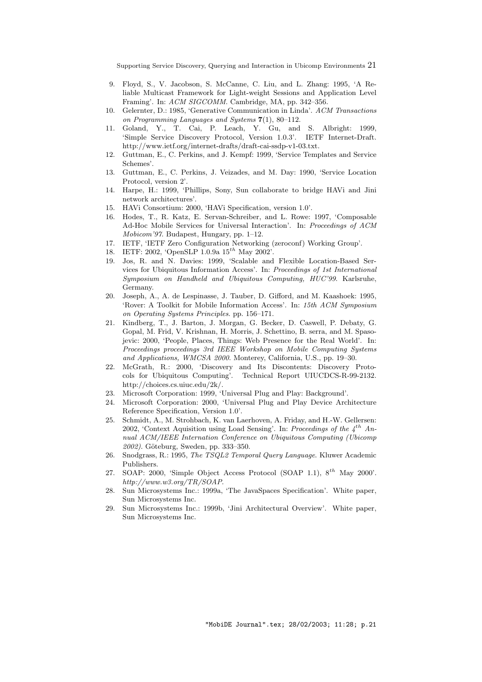Supporting Service Discovery, Querying and Interaction in Ubicomp Environments 21

- 9. Floyd, S., V. Jacobson, S. McCanne, C. Liu, and L. Zhang: 1995, 'A Reliable Multicast Framework for Light-weight Sessions and Application Level Framing'. In: ACM SIGCOMM. Cambridge, MA, pp. 342–356.
- 10. Gelernter, D.: 1985, 'Generative Communication in Linda'. ACM Transactions on Programming Languages and Systems  $7(1)$ , 80-112.
- 11. Goland, Y., T. Cai, P. Leach, Y. Gu, and S. Albright: 1999, 'Simple Service Discovery Protocol, Version 1.0.3'. IETF Internet-Draft. http://www.ietf.org/internet-drafts/draft-cai-ssdp-v1-03.txt.
- 12. Guttman, E., C. Perkins, and J. Kempf: 1999, 'Service Templates and Service Schemes'.
- 13. Guttman, E., C. Perkins, J. Veizades, and M. Day: 1990, 'Service Location Protocol, version 2'.
- 14. Harpe, H.: 1999, 'Phillips, Sony, Sun collaborate to bridge HAVi and Jini network architectures'.
- 15. HAVi Consortium: 2000, 'HAVi Specification, version 1.0'.
- 16. Hodes, T., R. Katz, E. Servan-Schreiber, and L. Rowe: 1997, 'Composable Ad-Hoc Mobile Services for Universal Interaction'. In: Proceedings of ACM Mobicom'97. Budapest, Hungary, pp. 1–12.
- 17. IETF, 'IETF Zero Configuration Networking (zeroconf) Working Group'.
- 18. IETF: 2002, 'OpenSLP 1.0.9a 15th May 2002'.
- 19. Jos, R. and N. Davies: 1999, 'Scalable and Flexible Location-Based Services for Ubiquitous Information Access'. In: Proceedings of 1st International Symposium on Handheld and Ubiquitous Computing, HUC'99. Karlsruhe, Germany.
- 20. Joseph, A., A. de Lespinasse, J. Tauber, D. Gifford, and M. Kaashoek: 1995, 'Rover: A Toolkit for Mobile Information Access'. In: 15th ACM Symposium on Operating Systems Principles. pp. 156–171.
- 21. Kindberg, T., J. Barton, J. Morgan, G. Becker, D. Caswell, P. Debaty, G. Gopal, M. Frid, V. Krishnan, H. Morris, J. Schettino, B. serra, and M. Spasojevic: 2000, 'People, Places, Things: Web Presence for the Real World'. In: Proceedings proceedings 3rd IEEE Workshop on Mobile Computing Systems and Applications, WMCSA 2000. Monterey, California, U.S., pp. 19–30.
- 22. McGrath, R.: 2000, 'Discovery and Its Discontents: Discovery Proto-Technical Report UIUCDCS-R-99-2132. http://choices.cs.uiuc.edu/2k/.
- 23. Microsoft Corporation: 1999, 'Universal Plug and Play: Background'.
- 24. Microsoft Corporation: 2000, 'Universal Plug and Play Device Architecture Reference Specification, Version 1.0'.
- 25. Schmidt, A., M. Strohbach, K. van Laerhoven, A. Friday, and H.-W. Gellersen: 2002, 'Context Aquisition using Load Sensing'. In: Proceedings of the  $4^{th}$  Annual ACM/IEEE Internation Conference on Ubiquitous Computing (Ubicomp 2002). Göteburg, Sweden, pp. 333-350.
- 26. Snodgrass, R.: 1995, The TSQL2 Temporal Query Language. Kluwer Academic Publishers.
- 27. SOAP: 2000, 'Simple Object Access Protocol (SOAP 1.1),  $8^{th}$  May 2000'. http://www.w3.org/TR/SOAP.
- 28. Sun Microsystems Inc.: 1999a, 'The JavaSpaces Specification'. White paper, Sun Microsystems Inc.
- 29. Sun Microsystems Inc.: 1999b, 'Jini Architectural Overview'. White paper, Sun Microsystems Inc.